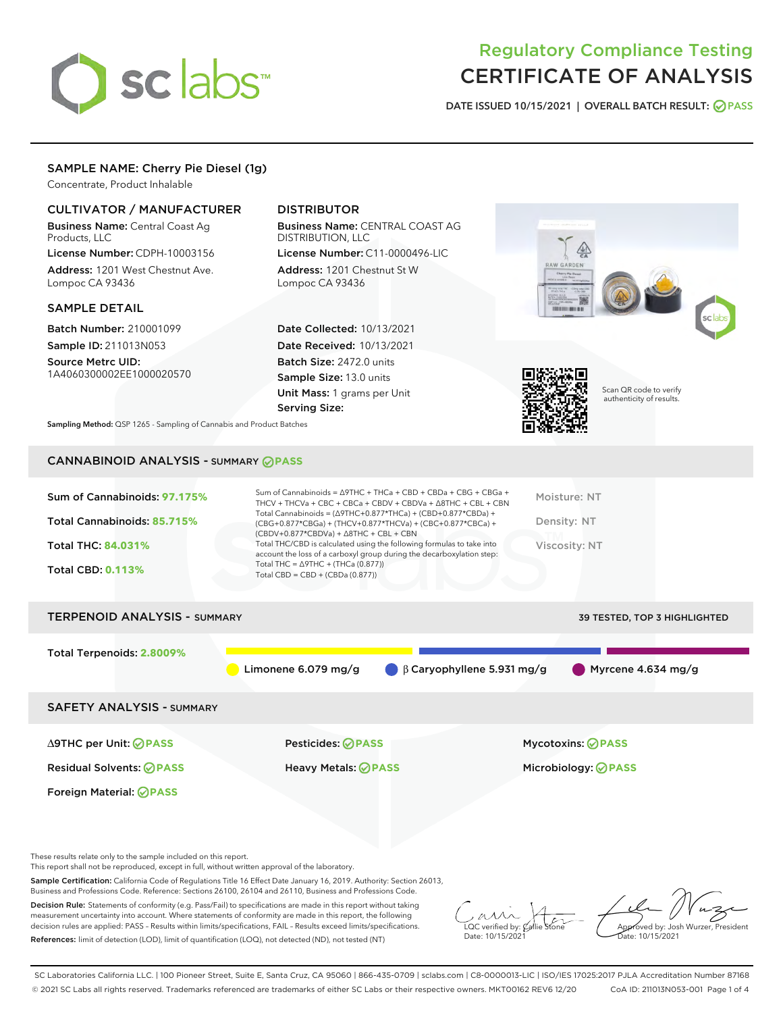# sclabs<sup>\*</sup>

# Regulatory Compliance Testing CERTIFICATE OF ANALYSIS

DATE ISSUED 10/15/2021 | OVERALL BATCH RESULT: @ PASS

# SAMPLE NAME: Cherry Pie Diesel (1g)

Concentrate, Product Inhalable

# CULTIVATOR / MANUFACTURER

Business Name: Central Coast Ag Products, LLC

License Number: CDPH-10003156 Address: 1201 West Chestnut Ave. Lompoc CA 93436

# SAMPLE DETAIL

Batch Number: 210001099 Sample ID: 211013N053

Source Metrc UID: 1A4060300002EE1000020570

# DISTRIBUTOR

Business Name: CENTRAL COAST AG DISTRIBUTION, LLC License Number: C11-0000496-LIC

Address: 1201 Chestnut St W Lompoc CA 93436

Date Collected: 10/13/2021 Date Received: 10/13/2021 Batch Size: 2472.0 units Sample Size: 13.0 units Unit Mass: 1 grams per Unit Serving Size:





Scan QR code to verify authenticity of results.

Sampling Method: QSP 1265 - Sampling of Cannabis and Product Batches

# CANNABINOID ANALYSIS - SUMMARY **PASS**

| Sum of Cannabinoids: 97.175%<br>Total Cannabinoids: 85.715%<br>Total THC: 84.031%<br><b>Total CBD: 0.113%</b> | Sum of Cannabinoids = $\triangle$ 9THC + THCa + CBD + CBDa + CBG + CBGa +<br>THCV + THCVa + CBC + CBCa + CBDV + CBDVa + $\land$ 8THC + CBL + CBN<br>Total Cannabinoids = $(\Delta$ 9THC+0.877*THCa) + (CBD+0.877*CBDa) +<br>(CBG+0.877*CBGa) + (THCV+0.877*THCVa) + (CBC+0.877*CBCa) +<br>$(CBDV+0.877*CBDVa) + \Delta 8THC + CBL + CBN$<br>Total THC/CBD is calculated using the following formulas to take into<br>account the loss of a carboxyl group during the decarboxylation step:<br>Total THC = $\triangle$ 9THC + (THCa (0.877))<br>Total CBD = CBD + (CBDa $(0.877)$ ) | Moisture: NT<br>Density: NT<br>Viscosity: NT |
|---------------------------------------------------------------------------------------------------------------|------------------------------------------------------------------------------------------------------------------------------------------------------------------------------------------------------------------------------------------------------------------------------------------------------------------------------------------------------------------------------------------------------------------------------------------------------------------------------------------------------------------------------------------------------------------------------------|----------------------------------------------|
| <b>TERPENOID ANALYSIS - SUMMARY</b>                                                                           |                                                                                                                                                                                                                                                                                                                                                                                                                                                                                                                                                                                    | 39 TESTED, TOP 3 HIGHLIGHTED                 |
| Total Terpenoids: 2.8009%                                                                                     | Limonene $6.079$ mg/g<br>$\beta$ Caryophyllene 5.931 mg/g                                                                                                                                                                                                                                                                                                                                                                                                                                                                                                                          | Myrcene 4.634 mg/g                           |
| <b>SAFETY ANALYSIS - SUMMARY</b>                                                                              |                                                                                                                                                                                                                                                                                                                                                                                                                                                                                                                                                                                    |                                              |
| ∆9THC per Unit: ⊘PASS                                                                                         | Pesticides: ⊘PASS                                                                                                                                                                                                                                                                                                                                                                                                                                                                                                                                                                  | <b>Mycotoxins: ⊘PASS</b>                     |

Residual Solvents: **PASS** Heavy Metals: **PASS** Microbiology: **PASS**

These results relate only to the sample included on this report.

Foreign Material: **PASS**

This report shall not be reproduced, except in full, without written approval of the laboratory.

Sample Certification: California Code of Regulations Title 16 Effect Date January 16, 2019. Authority: Section 26013, Business and Professions Code. Reference: Sections 26100, 26104 and 26110, Business and Professions Code.

Decision Rule: Statements of conformity (e.g. Pass/Fail) to specifications are made in this report without taking measurement uncertainty into account. Where statements of conformity are made in this report, the following decision rules are applied: PASS – Results within limits/specifications, FAIL – Results exceed limits/specifications. References: limit of detection (LOD), limit of quantification (LOQ), not detected (ND), not tested (NT)

 $\sim$  CC verified by:  $\mathscr{C}$  a Date: 10/15/2021

Approved by: Josh Wurzer, President ate: 10/15/2021

SC Laboratories California LLC. | 100 Pioneer Street, Suite E, Santa Cruz, CA 95060 | 866-435-0709 | sclabs.com | C8-0000013-LIC | ISO/IES 17025:2017 PJLA Accreditation Number 87168 © 2021 SC Labs all rights reserved. Trademarks referenced are trademarks of either SC Labs or their respective owners. MKT00162 REV6 12/20 CoA ID: 211013N053-001 Page 1 of 4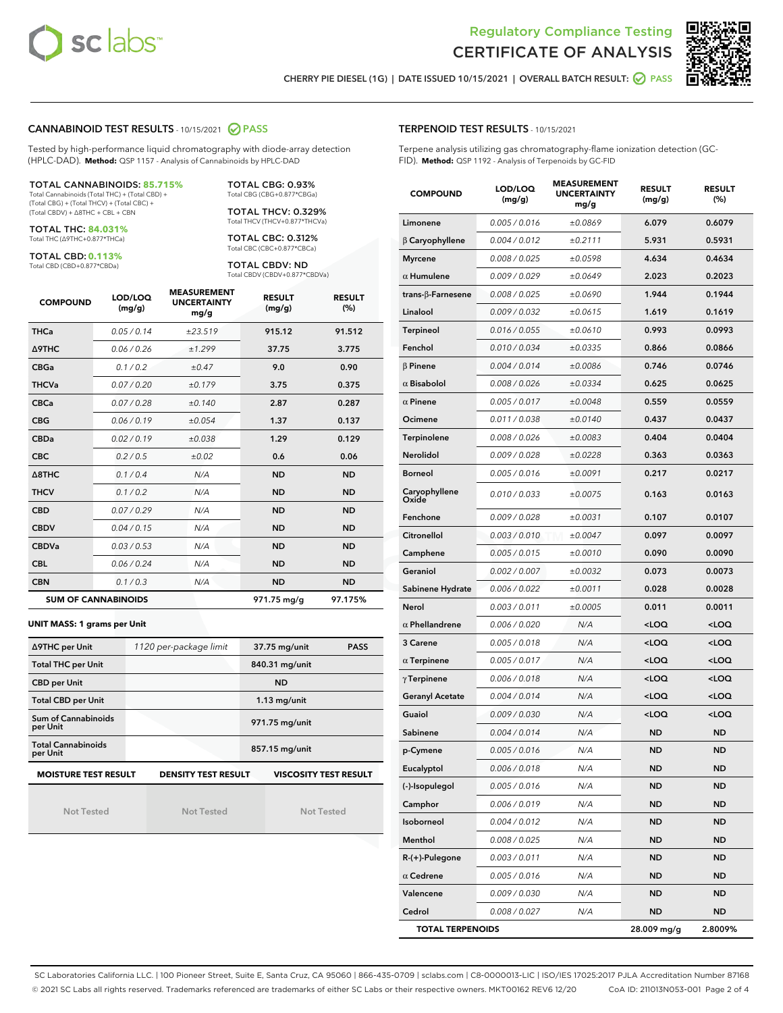



CHERRY PIE DIESEL (1G) | DATE ISSUED 10/15/2021 | OVERALL BATCH RESULT: @ PASS

# CANNABINOID TEST RESULTS - 10/15/2021 2 PASS

Tested by high-performance liquid chromatography with diode-array detection (HPLC-DAD). **Method:** QSP 1157 - Analysis of Cannabinoids by HPLC-DAD

### TOTAL CANNABINOIDS: **85.715%**

Total Cannabinoids (Total THC) + (Total CBD) + (Total CBG) + (Total THCV) + (Total CBC) + (Total CBDV) + ∆8THC + CBL + CBN

TOTAL THC: **84.031%** Total THC (∆9THC+0.877\*THCa)

TOTAL CBD: **0.113%**

Total CBD (CBD+0.877\*CBDa)

TOTAL CBG: 0.93% Total CBG (CBG+0.877\*CBGa)

TOTAL THCV: 0.329% Total THCV (THCV+0.877\*THCVa)

TOTAL CBC: 0.312% Total CBC (CBC+0.877\*CBCa)

TOTAL CBDV: ND Total CBDV (CBDV+0.877\*CBDVa)

| <b>COMPOUND</b>  | LOD/LOQ<br>(mg/g)          | <b>MEASUREMENT</b><br><b>UNCERTAINTY</b><br>mg/g | <b>RESULT</b><br>(mg/g) | <b>RESULT</b><br>(%) |
|------------------|----------------------------|--------------------------------------------------|-------------------------|----------------------|
| <b>THCa</b>      | 0.05 / 0.14                | ±23.519                                          | 915.12                  | 91.512               |
| <b>A9THC</b>     | 0.06 / 0.26                | ±1.299                                           | 37.75                   | 3.775                |
| <b>CBGa</b>      | 0.1 / 0.2                  | ±0.47                                            | 9.0                     | 0.90                 |
| <b>THCVa</b>     | 0.07/0.20                  | ±0.179                                           | 3.75                    | 0.375                |
| <b>CBCa</b>      | 0.07/0.28                  | ±0.140                                           | 2.87                    | 0.287                |
| <b>CBG</b>       | 0.06/0.19                  | ±0.054                                           | 1.37                    | 0.137                |
| <b>CBDa</b>      | 0.02/0.19                  | ±0.038                                           | 1.29                    | 0.129                |
| <b>CBC</b>       | 0.2 / 0.5                  | ±0.02                                            | 0.6                     | 0.06                 |
| $\triangle$ 8THC | 0.1/0.4                    | N/A                                              | <b>ND</b>               | <b>ND</b>            |
| <b>THCV</b>      | 0.1 / 0.2                  | N/A                                              | <b>ND</b>               | <b>ND</b>            |
| <b>CBD</b>       | 0.07/0.29                  | N/A                                              | <b>ND</b>               | <b>ND</b>            |
| <b>CBDV</b>      | 0.04 / 0.15                | N/A                                              | <b>ND</b>               | <b>ND</b>            |
| <b>CBDVa</b>     | 0.03 / 0.53                | N/A                                              | <b>ND</b>               | <b>ND</b>            |
| <b>CBL</b>       | 0.06 / 0.24                | N/A                                              | <b>ND</b>               | <b>ND</b>            |
| <b>CBN</b>       | 0.1/0.3                    | N/A                                              | <b>ND</b>               | <b>ND</b>            |
|                  | <b>SUM OF CANNABINOIDS</b> |                                                  | 971.75 mg/g             | 97.175%              |

### **UNIT MASS: 1 grams per Unit**

| ∆9THC per Unit                        | 1120 per-package limit     | 37.75 mg/unit<br><b>PASS</b> |
|---------------------------------------|----------------------------|------------------------------|
| <b>Total THC per Unit</b>             |                            | 840.31 mg/unit               |
| <b>CBD per Unit</b>                   |                            | <b>ND</b>                    |
| <b>Total CBD per Unit</b>             |                            | $1.13$ mg/unit               |
| Sum of Cannabinoids<br>per Unit       |                            | 971.75 mg/unit               |
| <b>Total Cannabinoids</b><br>per Unit |                            | 857.15 mg/unit               |
| <b>MOISTURE TEST RESULT</b>           | <b>DENSITY TEST RESULT</b> | <b>VISCOSITY TEST RESULT</b> |

Not Tested

Not Tested

Not Tested

TERPENOID TEST RESULTS - 10/15/2021

Terpene analysis utilizing gas chromatography-flame ionization detection (GC-FID). **Method:** QSP 1192 - Analysis of Terpenoids by GC-FID

| <b>COMPOUND</b>         | LOD/LOQ<br>(mg/g) | <b>MEASUREMENT</b><br><b>UNCERTAINTY</b><br>mg/g | <b>RESULT</b><br>(mg/g)                          | <b>RESULT</b><br>$(\%)$ |
|-------------------------|-------------------|--------------------------------------------------|--------------------------------------------------|-------------------------|
| Limonene                | 0.005 / 0.016     | ±0.0869                                          | 6.079                                            | 0.6079                  |
| $\beta$ Caryophyllene   | 0.004 / 0.012     | ±0.2111                                          | 5.931                                            | 0.5931                  |
| <b>Myrcene</b>          | 0.008 / 0.025     | ±0.0598                                          | 4.634                                            | 0.4634                  |
| $\alpha$ Humulene       | 0.009/0.029       | ±0.0649                                          | 2.023                                            | 0.2023                  |
| trans-β-Farnesene       | 0.008 / 0.025     | ±0.0690                                          | 1.944                                            | 0.1944                  |
| Linalool                | 0.009 / 0.032     | ±0.0615                                          | 1.619                                            | 0.1619                  |
| Terpineol               | 0.016 / 0.055     | ±0.0610                                          | 0.993                                            | 0.0993                  |
| Fenchol                 | 0.010 / 0.034     | ±0.0335                                          | 0.866                                            | 0.0866                  |
| $\beta$ Pinene          | 0.004 / 0.014     | ±0.0086                                          | 0.746                                            | 0.0746                  |
| $\alpha$ Bisabolol      | 0.008 / 0.026     | ±0.0334                                          | 0.625                                            | 0.0625                  |
| $\alpha$ Pinene         | 0.005 / 0.017     | ±0.0048                                          | 0.559                                            | 0.0559                  |
| Ocimene                 | 0.011 / 0.038     | ±0.0140                                          | 0.437                                            | 0.0437                  |
| <b>Terpinolene</b>      | 0.008 / 0.026     | ±0.0083                                          | 0.404                                            | 0.0404                  |
| Nerolidol               | 0.009 / 0.028     | ±0.0228                                          | 0.363                                            | 0.0363                  |
| <b>Borneol</b>          | 0.005 / 0.016     | ±0.0091                                          | 0.217                                            | 0.0217                  |
| Caryophyllene<br>Oxide  | 0.010 / 0.033     | ±0.0075                                          | 0.163                                            | 0.0163                  |
| Fenchone                | 0.009 / 0.028     | ±0.0031                                          | 0.107                                            | 0.0107                  |
| Citronellol             | 0.003 / 0.010     | ±0.0047                                          | 0.097                                            | 0.0097                  |
| Camphene                | 0.005 / 0.015     | ±0.0010                                          | 0.090                                            | 0.0090                  |
| Geraniol                | 0.002 / 0.007     | ±0.0032                                          | 0.073                                            | 0.0073                  |
| Sabinene Hydrate        | 0.006 / 0.022     | ±0.0011                                          | 0.028                                            | 0.0028                  |
| Nerol                   | 0.003 / 0.011     | ±0.0005                                          | 0.011                                            | 0.0011                  |
| $\alpha$ Phellandrene   | 0.006 / 0.020     | N/A                                              | <loq< th=""><th><loq< th=""></loq<></th></loq<>  | <loq< th=""></loq<>     |
| 3 Carene                | 0.005 / 0.018     | N/A                                              | <loq< th=""><th><math>&lt;</math>LOQ</th></loq<> | $<$ LOQ                 |
| $\alpha$ Terpinene      | 0.005 / 0.017     | N/A                                              | <loq< th=""><th><loq< th=""></loq<></th></loq<>  | <loq< th=""></loq<>     |
| $\gamma$ Terpinene      | 0.006 / 0.018     | N/A                                              | <loq< th=""><th><loq< th=""></loq<></th></loq<>  | <loq< th=""></loq<>     |
| <b>Geranyl Acetate</b>  | 0.004 / 0.014     | N/A                                              | $<$ LOQ                                          | $<$ LOQ                 |
| Guaiol                  | 0.009 / 0.030     | N/A                                              | <loq< th=""><th><math>&lt;</math>LOQ</th></loq<> | $<$ LOQ                 |
| Sabinene                | 0.004 / 0.014     | N/A                                              | <b>ND</b>                                        | <b>ND</b>               |
| p-Cymene                | 0.005 / 0.016     | N/A                                              | ND                                               | ND                      |
| Eucalyptol              | 0.006 / 0.018     | N/A                                              | ND                                               | ND                      |
| (-)-Isopulegol          | 0.005 / 0.016     | N/A                                              | ND                                               | ND                      |
| Camphor                 | 0.006 / 0.019     | N/A                                              | ND                                               | <b>ND</b>               |
| Isoborneol              | 0.004 / 0.012     | N/A                                              | ND                                               | <b>ND</b>               |
| Menthol                 | 0.008 / 0.025     | N/A                                              | ND                                               | ND                      |
| R-(+)-Pulegone          | 0.003 / 0.011     | N/A                                              | ND                                               | ND                      |
| $\alpha$ Cedrene        | 0.005 / 0.016     | N/A                                              | <b>ND</b>                                        | <b>ND</b>               |
| Valencene               | 0.009 / 0.030     | N/A                                              | ND                                               | ND                      |
| Cedrol                  | 0.008 / 0.027     | N/A                                              | <b>ND</b>                                        | ND                      |
| <b>TOTAL TERPENOIDS</b> |                   |                                                  | 28.009 mg/g                                      | 2.8009%                 |

SC Laboratories California LLC. | 100 Pioneer Street, Suite E, Santa Cruz, CA 95060 | 866-435-0709 | sclabs.com | C8-0000013-LIC | ISO/IES 17025:2017 PJLA Accreditation Number 87168 © 2021 SC Labs all rights reserved. Trademarks referenced are trademarks of either SC Labs or their respective owners. MKT00162 REV6 12/20 CoA ID: 211013N053-001 Page 2 of 4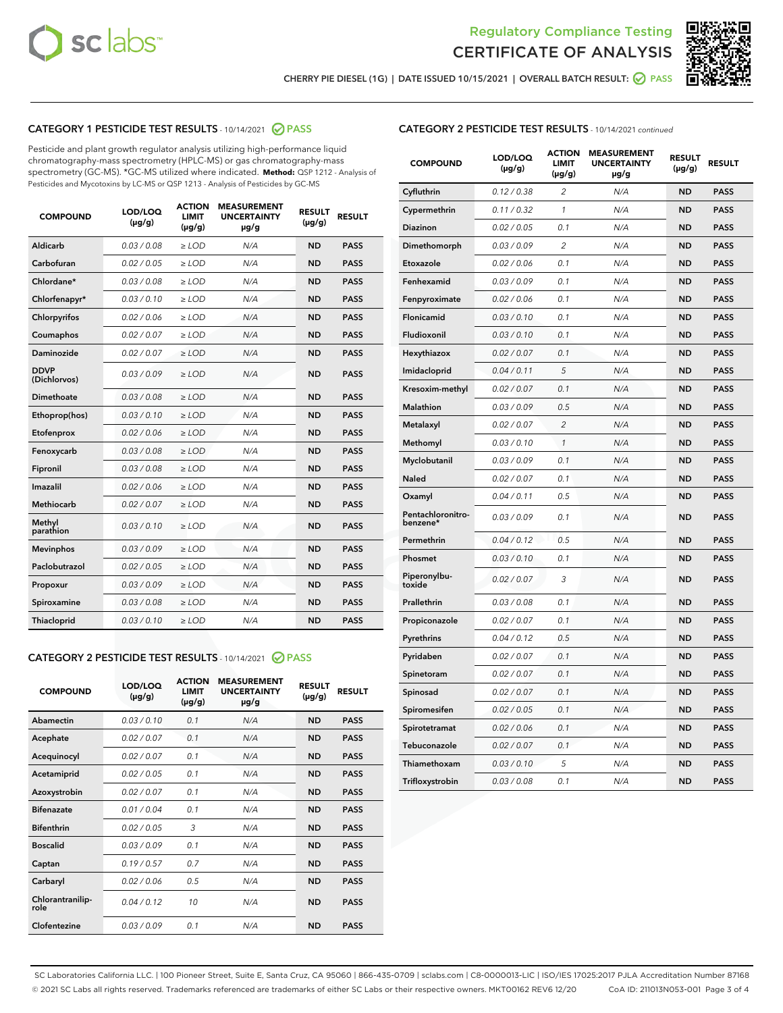



CHERRY PIE DIESEL (1G) | DATE ISSUED 10/15/2021 | OVERALL BATCH RESULT: @ PASS

# CATEGORY 1 PESTICIDE TEST RESULTS - 10/14/2021 @ PASS

Pesticide and plant growth regulator analysis utilizing high-performance liquid chromatography-mass spectrometry (HPLC-MS) or gas chromatography-mass spectrometry (GC-MS). \*GC-MS utilized where indicated. **Method:** QSP 1212 - Analysis of Pesticides and Mycotoxins by LC-MS or QSP 1213 - Analysis of Pesticides by GC-MS

| <b>COMPOUND</b>             | LOD/LOQ<br>$(\mu g/g)$ | <b>ACTION</b><br>LIMIT<br>$(\mu g/g)$ | <b>MEASUREMENT</b><br><b>UNCERTAINTY</b><br>$\mu$ g/g | <b>RESULT</b><br>$(\mu g/g)$ | <b>RESULT</b> |
|-----------------------------|------------------------|---------------------------------------|-------------------------------------------------------|------------------------------|---------------|
| Aldicarb                    | 0.03/0.08              | $>$ LOD                               | N/A                                                   | <b>ND</b>                    | <b>PASS</b>   |
| Carbofuran                  | 0.02 / 0.05            | $>$ LOD                               | N/A                                                   | <b>ND</b>                    | <b>PASS</b>   |
| Chlordane*                  | 0.03 / 0.08            | $\ge$ LOD                             | N/A                                                   | <b>ND</b>                    | <b>PASS</b>   |
| Chlorfenapyr*               | 0.03/0.10              | $\ge$ LOD                             | N/A                                                   | <b>ND</b>                    | <b>PASS</b>   |
| Chlorpyrifos                | 0.02 / 0.06            | $\ge$ LOD                             | N/A                                                   | <b>ND</b>                    | <b>PASS</b>   |
| Coumaphos                   | 0.02 / 0.07            | $\ge$ LOD                             | N/A                                                   | <b>ND</b>                    | <b>PASS</b>   |
| Daminozide                  | 0.02 / 0.07            | $\ge$ LOD                             | N/A                                                   | <b>ND</b>                    | <b>PASS</b>   |
| <b>DDVP</b><br>(Dichlorvos) | 0.03/0.09              | $>$ LOD                               | N/A                                                   | <b>ND</b>                    | <b>PASS</b>   |
| Dimethoate                  | 0.03/0.08              | $>$ LOD                               | N/A                                                   | <b>ND</b>                    | <b>PASS</b>   |
| Ethoprop(hos)               | 0.03/0.10              | $\ge$ LOD                             | N/A                                                   | <b>ND</b>                    | <b>PASS</b>   |
| Etofenprox                  | 0.02 / 0.06            | $\ge$ LOD                             | N/A                                                   | <b>ND</b>                    | <b>PASS</b>   |
| Fenoxycarb                  | 0.03 / 0.08            | $\ge$ LOD                             | N/A                                                   | <b>ND</b>                    | <b>PASS</b>   |
| Fipronil                    | 0.03/0.08              | $\ge$ LOD                             | N/A                                                   | <b>ND</b>                    | <b>PASS</b>   |
| Imazalil                    | 0.02 / 0.06            | $\ge$ LOD                             | N/A                                                   | <b>ND</b>                    | <b>PASS</b>   |
| Methiocarb                  | 0.02 / 0.07            | $\ge$ LOD                             | N/A                                                   | <b>ND</b>                    | <b>PASS</b>   |
| Methyl<br>parathion         | 0.03/0.10              | $\ge$ LOD                             | N/A                                                   | <b>ND</b>                    | <b>PASS</b>   |
| <b>Mevinphos</b>            | 0.03/0.09              | $\ge$ LOD                             | N/A                                                   | <b>ND</b>                    | <b>PASS</b>   |
| Paclobutrazol               | 0.02 / 0.05            | $\ge$ LOD                             | N/A                                                   | <b>ND</b>                    | <b>PASS</b>   |
| Propoxur                    | 0.03/0.09              | $\ge$ LOD                             | N/A                                                   | <b>ND</b>                    | <b>PASS</b>   |
| Spiroxamine                 | 0.03 / 0.08            | $\ge$ LOD                             | N/A                                                   | <b>ND</b>                    | <b>PASS</b>   |
| <b>Thiacloprid</b>          | 0.03/0.10              | $\ge$ LOD                             | N/A                                                   | <b>ND</b>                    | <b>PASS</b>   |
|                             |                        |                                       |                                                       |                              |               |

# CATEGORY 2 PESTICIDE TEST RESULTS - 10/14/2021 @ PASS

| <b>COMPOUND</b>          | LOD/LOQ<br>$(\mu g/g)$ | <b>ACTION</b><br>LIMIT<br>$(\mu g/g)$ | <b>MEASUREMENT</b><br><b>UNCERTAINTY</b><br>$\mu$ g/g | <b>RESULT</b><br>$(\mu g/g)$ | <b>RESULT</b> |
|--------------------------|------------------------|---------------------------------------|-------------------------------------------------------|------------------------------|---------------|
| Abamectin                | 0.03/0.10              | 0.1                                   | N/A                                                   | <b>ND</b>                    | <b>PASS</b>   |
| Acephate                 | 0.02/0.07              | 0.1                                   | N/A                                                   | <b>ND</b>                    | <b>PASS</b>   |
| Acequinocyl              | 0.02/0.07              | 0.1                                   | N/A                                                   | <b>ND</b>                    | <b>PASS</b>   |
| Acetamiprid              | 0.02 / 0.05            | 0.1                                   | N/A                                                   | <b>ND</b>                    | <b>PASS</b>   |
| Azoxystrobin             | 0.02/0.07              | 0.1                                   | N/A                                                   | <b>ND</b>                    | <b>PASS</b>   |
| <b>Bifenazate</b>        | 0.01/0.04              | 0.1                                   | N/A                                                   | <b>ND</b>                    | <b>PASS</b>   |
| <b>Bifenthrin</b>        | 0.02 / 0.05            | 3                                     | N/A                                                   | <b>ND</b>                    | <b>PASS</b>   |
| <b>Boscalid</b>          | 0.03/0.09              | 0.1                                   | N/A                                                   | <b>ND</b>                    | <b>PASS</b>   |
| Captan                   | 0.19/0.57              | 0.7                                   | N/A                                                   | <b>ND</b>                    | <b>PASS</b>   |
| Carbaryl                 | 0.02/0.06              | 0.5                                   | N/A                                                   | <b>ND</b>                    | <b>PASS</b>   |
| Chlorantranilip-<br>role | 0.04/0.12              | 10                                    | N/A                                                   | <b>ND</b>                    | <b>PASS</b>   |
| Clofentezine             | 0.03/0.09              | 0.1                                   | N/A                                                   | <b>ND</b>                    | <b>PASS</b>   |

# CATEGORY 2 PESTICIDE TEST RESULTS - 10/14/2021 continued

| <b>COMPOUND</b>               | LOD/LOQ<br>(µg/g) | <b>ACTION</b><br><b>LIMIT</b><br>$(\mu g/g)$ | <b>MEASUREMENT</b><br><b>UNCERTAINTY</b><br>µg/g | <b>RESULT</b><br>(µg/g) | <b>RESULT</b> |
|-------------------------------|-------------------|----------------------------------------------|--------------------------------------------------|-------------------------|---------------|
| Cyfluthrin                    | 0.12 / 0.38       | $\overline{c}$                               | N/A                                              | ND                      | <b>PASS</b>   |
| Cypermethrin                  | 0.11 / 0.32       | 1                                            | N/A                                              | <b>ND</b>               | PASS          |
| <b>Diazinon</b>               | 0.02 / 0.05       | 0.1                                          | N/A                                              | <b>ND</b>               | <b>PASS</b>   |
| Dimethomorph                  | 0.03 / 0.09       | 2                                            | N/A                                              | ND                      | PASS          |
| Etoxazole                     | 0.02 / 0.06       | 0.1                                          | N/A                                              | ND                      | PASS          |
| Fenhexamid                    | 0.03 / 0.09       | 0.1                                          | N/A                                              | ND                      | <b>PASS</b>   |
| Fenpyroximate                 | 0.02 / 0.06       | 0.1                                          | N/A                                              | ND                      | <b>PASS</b>   |
| Flonicamid                    | 0.03 / 0.10       | 0.1                                          | N/A                                              | ND                      | PASS          |
| Fludioxonil                   | 0.03 / 0.10       | 0.1                                          | N/A                                              | ND                      | PASS          |
| Hexythiazox                   | 0.02 / 0.07       | 0.1                                          | N/A                                              | <b>ND</b>               | <b>PASS</b>   |
| Imidacloprid                  | 0.04 / 0.11       | 5                                            | N/A                                              | ND                      | <b>PASS</b>   |
| Kresoxim-methyl               | 0.02 / 0.07       | 0.1                                          | N/A                                              | ND                      | <b>PASS</b>   |
| <b>Malathion</b>              | 0.03 / 0.09       | 0.5                                          | N/A                                              | <b>ND</b>               | <b>PASS</b>   |
| Metalaxyl                     | 0.02 / 0.07       | $\overline{c}$                               | N/A                                              | <b>ND</b>               | PASS          |
| Methomyl                      | 0.03 / 0.10       | 1                                            | N/A                                              | ND                      | <b>PASS</b>   |
| Myclobutanil                  | 0.03/0.09         | 0.1                                          | N/A                                              | <b>ND</b>               | <b>PASS</b>   |
| Naled                         | 0.02 / 0.07       | 0.1                                          | N/A                                              | <b>ND</b>               | <b>PASS</b>   |
| Oxamyl                        | 0.04 / 0.11       | 0.5                                          | N/A                                              | ND                      | PASS          |
| Pentachloronitro-<br>benzene* | 0.03 / 0.09       | 0.1                                          | N/A                                              | <b>ND</b>               | <b>PASS</b>   |
| Permethrin                    | 0.04 / 0.12       | 0.5                                          | N/A                                              | <b>ND</b>               | <b>PASS</b>   |
| Phosmet                       | 0.03 / 0.10       | 0.1                                          | N/A                                              | ND                      | <b>PASS</b>   |
| Piperonylbu-<br>toxide        | 0.02 / 0.07       | 3                                            | N/A                                              | <b>ND</b>               | <b>PASS</b>   |
| Prallethrin                   | 0.03 / 0.08       | 0.1                                          | N/A                                              | <b>ND</b>               | <b>PASS</b>   |
| Propiconazole                 | 0.02 / 0.07       | 0.1                                          | N/A                                              | <b>ND</b>               | <b>PASS</b>   |
| Pyrethrins                    | 0.04 / 0.12       | 0.5                                          | N/A                                              | ND                      | <b>PASS</b>   |
| Pyridaben                     | 0.02 / 0.07       | 0.1                                          | N/A                                              | ND                      | <b>PASS</b>   |
| Spinetoram                    | 0.02 / 0.07       | 0.1                                          | N/A                                              | ND                      | <b>PASS</b>   |
| Spinosad                      | 0.02 / 0.07       | 0.1                                          | N/A                                              | <b>ND</b>               | PASS          |
| Spiromesifen                  | 0.02 / 0.05       | 0.1                                          | N/A                                              | ND                      | <b>PASS</b>   |
| Spirotetramat                 | 0.02 / 0.06       | 0.1                                          | N/A                                              | ND                      | <b>PASS</b>   |
| Tebuconazole                  | 0.02 / 0.07       | 0.1                                          | N/A                                              | ND                      | <b>PASS</b>   |
| Thiamethoxam                  | 0.03 / 0.10       | 5                                            | N/A                                              | ND                      | <b>PASS</b>   |
| Trifloxystrobin               | 0.03 / 0.08       | 0.1                                          | N/A                                              | <b>ND</b>               | <b>PASS</b>   |

SC Laboratories California LLC. | 100 Pioneer Street, Suite E, Santa Cruz, CA 95060 | 866-435-0709 | sclabs.com | C8-0000013-LIC | ISO/IES 17025:2017 PJLA Accreditation Number 87168 © 2021 SC Labs all rights reserved. Trademarks referenced are trademarks of either SC Labs or their respective owners. MKT00162 REV6 12/20 CoA ID: 211013N053-001 Page 3 of 4